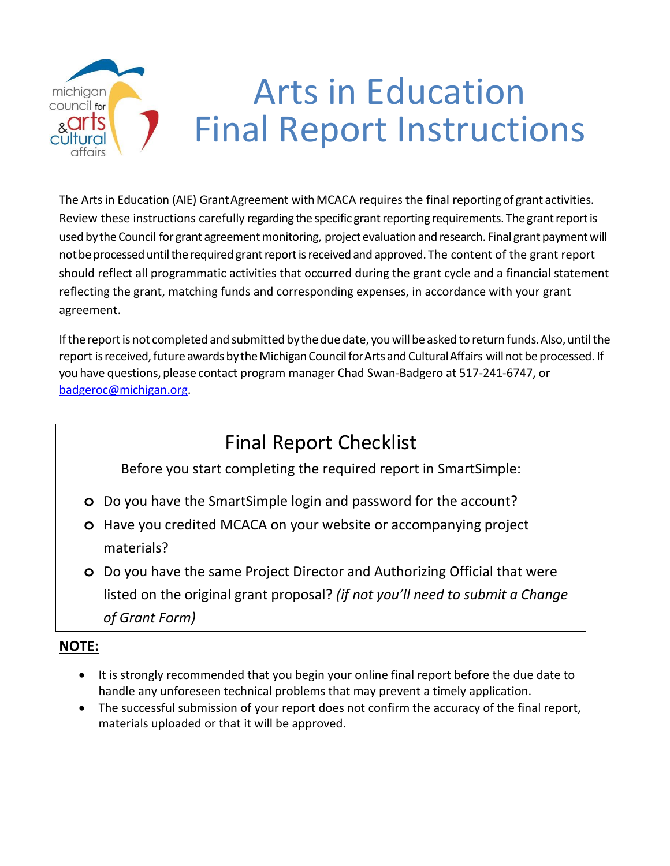# Arts in Education michigan council for Final Report Instructions

The Arts in Education (AIE) Grant Agreement with MCACA requires the final reporting of grant activities. Review these instructions carefully regarding the specific grant reporting requirements. The grant report is used by the Council for grant agreement monitoring, project evaluation and research. Final grant payment will not be processed until the required grant report is received and approved. The content of the grant report should reflect all programmatic activities that occurred during the grant cycle and a financial statement reflecting the grant, matching funds and corresponding expenses, in accordance with your grant agreement.

If the report is not completed and submitted by the due date, you will be asked to return funds. Also, until the report is received, future awards by the Michigan Council for Arts and Cultural Affairs will not be processed. If you have questions, please contact program manager Chad Swan-Badgero at 517-241-6747, or [badgeroc@michigan.org.](mailto:badgeroc@michigan.org)

# Final Report Checklist

Before you start completing the required report in SmartSimple:

- **o** Do you have the SmartSimple login and password for the account?
- **o** Have you credited MCACA on your website or accompanying project materials?
- **o** Do you have the same Project Director and Authorizing Official that were listed on the original grant proposal? *(if not you'll need to submit a Change of Grant Form)*

### **NOTE:**

- It is strongly recommended that you begin your online final report before the due date to handle any unforeseen technical problems that may prevent a timely application.
- The successful submission of your report does not confirm the accuracy of the final report, materials uploaded or that it will be approved.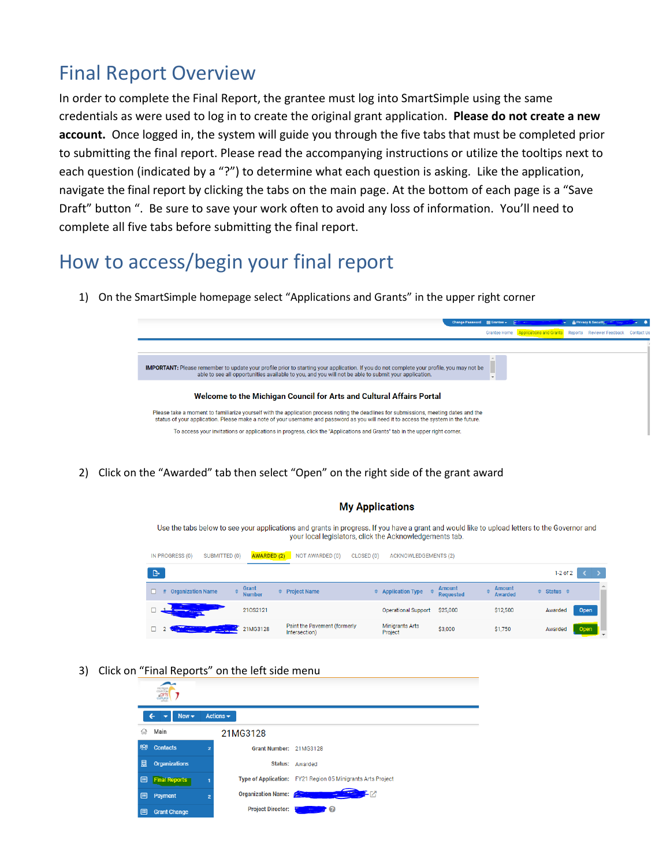## Final Report Overview

In order to complete the Final Report, the grantee must log into SmartSimple using the same credentials as were used to log in to create the original grant application. **Please do not create a new account.** Once logged in, the system will guide you through the five tabs that must be completed prior to submitting the final report. Please read the accompanying instructions or utilize the tooltips next to each question (indicated by a "?") to determine what each question is asking. Like the application, navigate the final report by clicking the tabs on the main page. At the bottom of each page is a "Save Draft" button ". Be sure to save your work often to avoid any loss of information. You'll need to complete all five tabs before submitting the final report.

## How to access/begin your final report

1) On the SmartSimple homepage select "Applications and Grants" in the upper right corner



2) Click on the "Awarded" tab then select "Open" on the right side of the grant award

| Use the tabs below to see your applications and grants in progress. If you have a grant and would like to upload letters to the Governor and<br>your local legislators, click the Acknowledgements tab. |                             |                                               |                                   |                                   |                                 |               |             |
|---------------------------------------------------------------------------------------------------------------------------------------------------------------------------------------------------------|-----------------------------|-----------------------------------------------|-----------------------------------|-----------------------------------|---------------------------------|---------------|-------------|
| IN PROGRESS (0)<br>SUBMITTED (0)                                                                                                                                                                        | <b>AWARDED (2)</b>          | NOT AWARDED (0)<br>CLOSED (0)                 | <b>ACKNOWLEDGEMENTS (2)</b>       |                                   |                                 |               |             |
| ு                                                                                                                                                                                                       |                             |                                               |                                   |                                   |                                 | $1-2$ of $2$  |             |
| <b>Organization Name</b><br>#                                                                                                                                                                           | Grant<br>÷<br><b>Number</b> | <b>Project Name</b>                           | <b>Application Type</b>           | <b>Amount</b><br><b>Requested</b> | <b>Amount</b><br><b>Awarded</b> | Status $\div$ |             |
|                                                                                                                                                                                                         | 210S2121                    |                                               | <b>Operational Support</b>        | \$25,000                          | \$12,500                        | Awarded       | <b>Open</b> |
|                                                                                                                                                                                                         | 21MG3128                    | Paint the Pavement (formerly<br>Intersection) | <b>Minigrants Arts</b><br>Project | \$3,000                           | \$1,750                         | Awarded       | Open        |

**My Applications** 

3) Click on "Final Reports" on the left side menu

|   | council.s<br>ants    |                |                               |                                                             |
|---|----------------------|----------------|-------------------------------|-------------------------------------------------------------|
|   | $New -$              |                | Actions $\blacktriangleright$ |                                                             |
| ⋒ | Main                 |                | 21MG3128                      |                                                             |
| 器 | <b>Contacts</b>      | $\overline{2}$ | Grant Number: 21MG3128        |                                                             |
| 圓 | <b>Organizations</b> |                |                               | <b>Status: Awarded</b>                                      |
| 圓 | <b>Final Reports</b> |                |                               | Type of Application: FY21 Region 05 Minigrants Arts Project |
| 圓 | Payment              | $\overline{2}$ | <b>Organization Name:</b>     |                                                             |
| 目 | <b>Grant Change</b>  |                | <b>Project Director:</b>      | ℯ                                                           |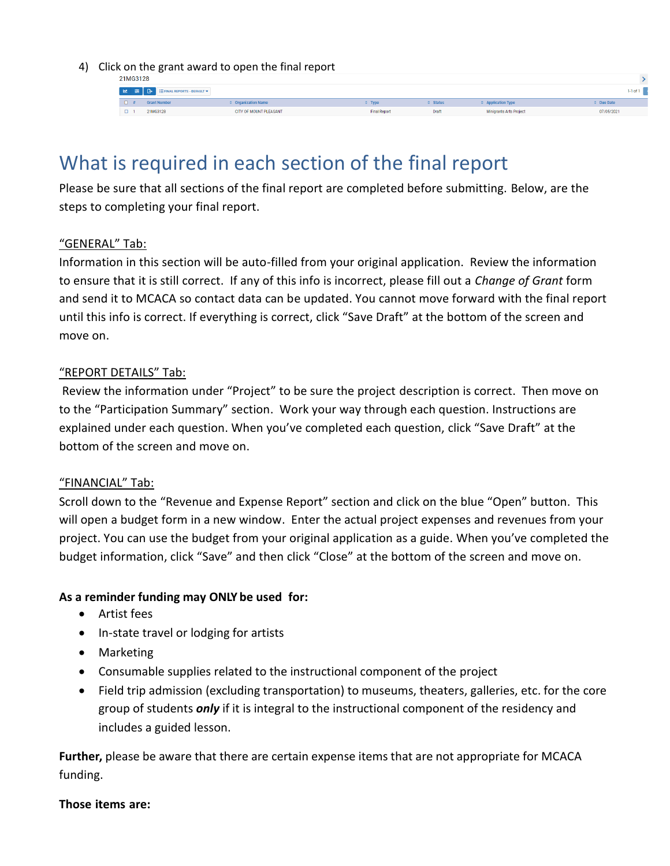4) Click on the grant award to open the final report

| <b>ZIMUJIZO</b> |                     |                          |                     |               |                                    |              |
|-----------------|---------------------|--------------------------|---------------------|---------------|------------------------------------|--------------|
|                 |                     |                          |                     |               |                                    | $1-1$ of $1$ |
| . .             | <b>Grant Number</b> | <b>Organization Name</b> | Type.               | $\div$ Status | $\Leftrightarrow$ Application Type | Due Date     |
|                 | 21MG3128            | CITY OF MOUNT PLEASANT   | <b>Final Report</b> | Draft         | Minigrants Arts Project            | 07/05/2021   |

### What is required in each section of the final report

Please be sure that all sections of the final report are completed before submitting. Below, are the steps to completing your final report.

#### "GENERAL" Tab:

Information in this section will be auto-filled from your original application. Review the information to ensure that it is still correct. If any of this info is incorrect, please fill out a *Change of Grant* form and send it to MCACA so contact data can be updated. You cannot move forward with the final report until this info is correct. If everything is correct, click "Save Draft" at the bottom of the screen and move on.

#### "REPORT DETAILS" Tab:

Review the information under "Project" to be sure the project description is correct. Then move on to the "Participation Summary" section. Work your way through each question. Instructions are explained under each question. When you've completed each question, click "Save Draft" at the bottom of the screen and move on.

#### "FINANCIAL" Tab:

Scroll down to the "Revenue and Expense Report" section and click on the blue "Open" button. This will open a budget form in a new window. Enter the actual project expenses and revenues from your project. You can use the budget from your original application as a guide. When you've completed the budget information, click "Save" and then click "Close" at the bottom of the screen and move on.

#### **As a reminder funding may ONLY be used for:**

- Artist fees
- In-state travel or lodging for artists
- Marketing
- Consumable supplies related to the instructional component of the project
- Field trip admission (excluding transportation) to museums, theaters, galleries, etc. for the core group of students *only* if it is integral to the instructional component of the residency and includes a guided lesson.

**Further,** please be aware that there are certain expense items that are not appropriate for MCACA funding.

#### **Those items are:**